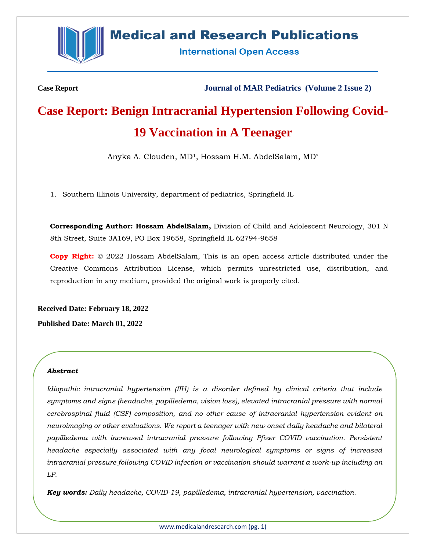

## **Medical and Research Publications**

**International Open Access** 

**Case Report Journal of MAR Pediatrics (Volume 2 Issue 2)**

# **Case Report: Benign Intracranial Hypertension Following Covid-19 Vaccination in A Teenager**

Anyka A. Clouden, MD1, Hossam H.M. AbdelSalam, MD\*

1. Southern Illinois University, department of pediatrics, Springfield IL

**Corresponding Author: Hossam AbdelSalam,** Division of Child and Adolescent Neurology, 301 N 8th Street, Suite 3A169, PO Box 19658, Springfield IL 62794-9658

**Copy Right:** © 2022 Hossam AbdelSalam, This is an open access article distributed under the Creative Commons Attribution License, which permits unrestricted use, distribution, and reproduction in any medium, provided the original work is properly cited.

**Received Date: February 18, 2022 Published Date: March 01, 2022**

### *Abstract*

*Idiopathic intracranial hypertension (IIH) is a disorder defined by clinical criteria that include symptoms and signs (headache, papilledema, vision loss), elevated intracranial pressure with normal cerebrospinal fluid (CSF) composition, and no other cause of intracranial hypertension evident on neuroimaging or other evaluations. We report a teenager with new onset daily headache and bilateral papilledema with increased intracranial pressure following Pfizer COVID vaccination. Persistent headache especially associated with any focal neurological symptoms or signs of increased intracranial pressure following COVID infection or vaccination should warrant a work-up including an LP.*

*Key words: Daily headache, COVID-19, papilledema, intracranial hypertension, vaccination.*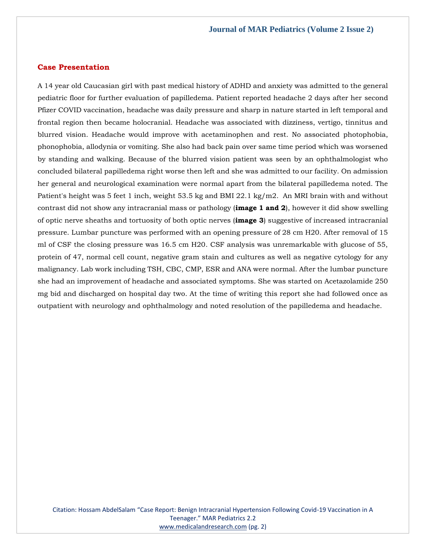#### **Case Presentation**

A 14 year old Caucasian girl with past medical history of ADHD and anxiety was admitted to the general pediatric floor for further evaluation of papilledema. Patient reported headache 2 days after her second Pfizer COVID vaccination, headache was daily pressure and sharp in nature started in left temporal and frontal region then became holocranial. Headache was associated with dizziness, vertigo, tinnitus and blurred vision. Headache would improve with acetaminophen and rest. No associated photophobia, phonophobia, allodynia or vomiting. She also had back pain over same time period which was worsened by standing and walking. Because of the blurred vision patient was seen by an ophthalmologist who concluded bilateral papilledema right worse then left and she was admitted to our facility. On admission her general and neurological examination were normal apart from the bilateral papilledema noted. The Patient's height was 5 feet 1 inch, weight 53.5 kg and BMI 22.1 kg/m2. An MRI brain with and without contrast did not show any intracranial mass or pathology (**image 1 and 2**), however it did show swelling of optic nerve sheaths and tortuosity of both optic nerves (**image 3**) suggestive of increased intracranial pressure. Lumbar puncture was performed with an opening pressure of 28 cm H20. After removal of 15 ml of CSF the closing pressure was 16.5 cm H20. CSF analysis was unremarkable with glucose of 55, protein of 47, normal cell count, negative gram stain and cultures as well as negative cytology for any malignancy. Lab work including TSH, CBC, CMP, ESR and ANA were normal. After the lumbar puncture she had an improvement of headache and associated symptoms. She was started on Acetazolamide 250 mg bid and discharged on hospital day two. At the time of writing this report she had followed once as outpatient with neurology and ophthalmology and noted resolution of the papilledema and headache.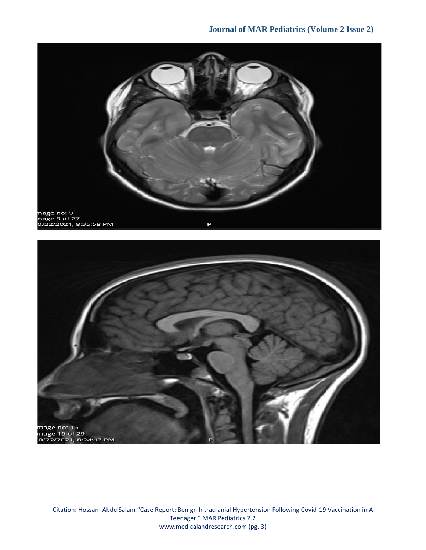



Citation: Hossam AbdelSalam "Case Report: Benign Intracranial Hypertension Following Covid-19 Vaccination in A Teenager." MAR Pediatrics 2.2 [www.medicalandresearch.com](http://www.medicalandresearch.com/) (pg. 3)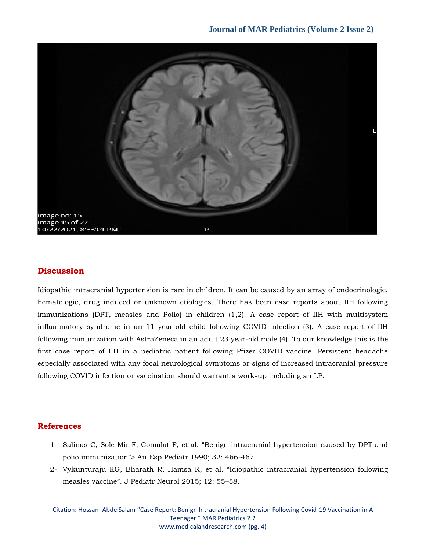

#### **Discussion**

Idiopathic intracranial hypertension is rare in children. It can be caused by an array of endocrinologic, hematologic, drug induced or unknown etiologies. There has been case reports about IIH following immunizations (DPT, measles and Polio) in children (1,2). A case report of IIH with multisystem inflammatory syndrome in an 11 year-old child following COVID infection (3). A case report of IIH following immunization with AstraZeneca in an adult 23 year-old male (4). To our knowledge this is the first case report of IIH in a pediatric patient following Pfizer COVID vaccine. Persistent headache especially associated with any focal neurological symptoms or signs of increased intracranial pressure following COVID infection or vaccination should warrant a work-up including an LP.

#### **References**

- 1- [Salinas C, Sole Mir F, Comalat F, et al. "Benign intracranial hypertension caused by DPT and](https://www.google.com/search?q=%E2%80%9CBenign+intracranial+hypertension+caused+by+DPT+and+polio+immunization&oq=%E2%80%9CBenign+intracranial+hypertension+caused+by+DPT+and+polio+immunization&aqs=chrome..69i57.929j0j15&sourceid=chrome&ie=UTF-8)  [polio immunization"> An Esp Pediatr 1990; 32: 466](https://www.google.com/search?q=%E2%80%9CBenign+intracranial+hypertension+caused+by+DPT+and+polio+immunization&oq=%E2%80%9CBenign+intracranial+hypertension+caused+by+DPT+and+polio+immunization&aqs=chrome..69i57.929j0j15&sourceid=chrome&ie=UTF-8)-467.
- 2- [Vykunturaju KG, Bharath R, Hamsa R, et al. "Idiopathic intracranial hypertension following](https://www.google.com/search?q=%E2%80%9CIdiopathic+intracranial+hypertension+following+measles+vaccine%E2%80%9D&sxsrf=APq-WBvTQ-To7nRatNFVj0XDgkwdRu_7Vg%3A1645426332372&ei=nDYTYrSmFr2YseMP7q-D2Ao&ved=0ahUKEwi05K3gmpD2AhU9TGwGHe7XAKsQ4dUDCA4&uact=5&oq=%E2%80%9CIdiopathic+intracranial+hypertension+following+measles+vaccine%E2%80%9D&gs_lcp=Cgdnd3Mtd2l6EAM6BwgAEEcQsANKBAhBGABKBAhGGABQwg5Ywg5gxBpoBnABeACAAWaIAWaSAQMwLjGYAQCgAQKgAQHIAQjAAQE&sclient=gws-wiz)  [measles vaccine". J Pediatr Neurol 2015; 12: 55–](https://www.google.com/search?q=%E2%80%9CIdiopathic+intracranial+hypertension+following+measles+vaccine%E2%80%9D&sxsrf=APq-WBvTQ-To7nRatNFVj0XDgkwdRu_7Vg%3A1645426332372&ei=nDYTYrSmFr2YseMP7q-D2Ao&ved=0ahUKEwi05K3gmpD2AhU9TGwGHe7XAKsQ4dUDCA4&uact=5&oq=%E2%80%9CIdiopathic+intracranial+hypertension+following+measles+vaccine%E2%80%9D&gs_lcp=Cgdnd3Mtd2l6EAM6BwgAEEcQsANKBAhBGABKBAhGGABQwg5Ywg5gxBpoBnABeACAAWaIAWaSAQMwLjGYAQCgAQKgAQHIAQjAAQE&sclient=gws-wiz)58.

Citation: Hossam AbdelSalam "Case Report: Benign Intracranial Hypertension Following Covid-19 Vaccination in A Teenager." MAR Pediatrics 2.2 [www.medicalandresearch.com](http://www.medicalandresearch.com/) (pg. 4)